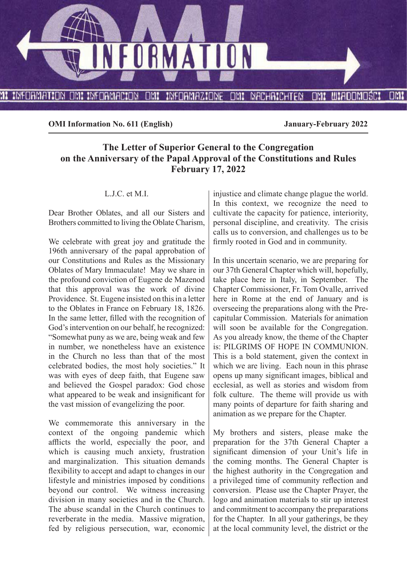

**OMI Information No. 611 (English) January-February 2022**

# **The Letter of Superior General to the Congregation on the Anniversary of the Papal Approval of the Constitutions and Rules February 17, 2022**

#### L.J.C. et M.I.

Dear Brother Oblates, and all our Sisters and Brothers committed to living the Oblate Charism,

We celebrate with great joy and gratitude the 196th anniversary of the papal approbation of our Constitutions and Rules as the Missionary Oblates of Mary Immaculate! May we share in the profound conviction of Eugene de Mazenod that this approval was the work of divine Providence. St. Eugene insisted on this in a letter to the Oblates in France on February 18, 1826. In the same letter, filled with the recognition of God's intervention on our behalf, he recognized: "Somewhat puny as we are, being weak and few in number, we nonetheless have an existence in the Church no less than that of the most celebrated bodies, the most holy societies." It was with eyes of deep faith, that Eugene saw and believed the Gospel paradox: God chose what appeared to be weak and insignificant for the vast mission of evangelizing the poor.

We commemorate this anniversary in the context of the ongoing pandemic which afflicts the world, especially the poor, and which is causing much anxiety, frustration and marginalization. This situation demands flexibility to accept and adapt to changes in our lifestyle and ministries imposed by conditions beyond our control. We witness increasing division in many societies and in the Church. The abuse scandal in the Church continues to reverberate in the media. Massive migration, fed by religious persecution, war, economic

injustice and climate change plague the world. In this context, we recognize the need to cultivate the capacity for patience, interiority, personal discipline, and creativity. The crisis calls us to conversion, and challenges us to be firmly rooted in God and in community.

In this uncertain scenario, we are preparing for our 37th General Chapter which will, hopefully, take place here in Italy, in September. The Chapter Commissioner, Fr. Tom Ovalle, arrived here in Rome at the end of January and is overseeing the preparations along with the Precapitular Commission. Materials for animation will soon be available for the Congregation. As you already know, the theme of the Chapter is: PILGRIMS OF HOPE IN COMMUNION. This is a bold statement, given the context in which we are living. Each noun in this phrase opens up many significant images, biblical and ecclesial, as well as stories and wisdom from folk culture. The theme will provide us with many points of departure for faith sharing and animation as we prepare for the Chapter.

My brothers and sisters, please make the preparation for the 37th General Chapter a significant dimension of your Unit's life in the coming months. The General Chapter is the highest authority in the Congregation and a privileged time of community reflection and conversion. Please use the Chapter Prayer, the logo and animation materials to stir up interest and commitment to accompany the preparations for the Chapter. In all your gatherings, be they at the local community level, the district or the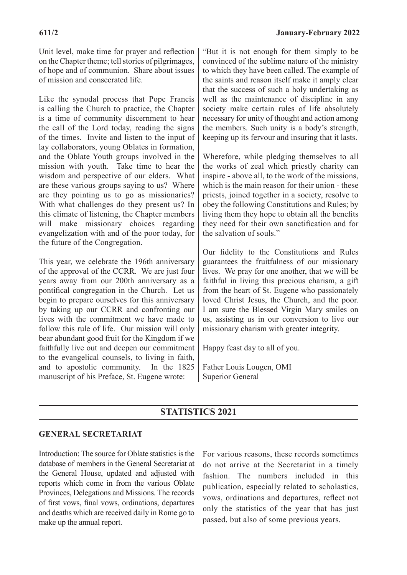Unit level, make time for prayer and reflection on the Chapter theme; tell stories of pilgrimages, of hope and of communion. Share about issues of mission and consecrated life.

Like the synodal process that Pope Francis is calling the Church to practice, the Chapter is a time of community discernment to hear the call of the Lord today, reading the signs of the times. Invite and listen to the input of lay collaborators, young Oblates in formation, and the Oblate Youth groups involved in the mission with youth. Take time to hear the wisdom and perspective of our elders. What are these various groups saying to us? Where are they pointing us to go as missionaries? With what challenges do they present us? In this climate of listening, the Chapter members will make missionary choices regarding evangelization with and of the poor today, for the future of the Congregation.

This year, we celebrate the 196th anniversary of the approval of the CCRR. We are just four years away from our 200th anniversary as a pontifical congregation in the Church. Let us begin to prepare ourselves for this anniversary by taking up our CCRR and confronting our lives with the commitment we have made to follow this rule of life. Our mission will only bear abundant good fruit for the Kingdom if we faithfully live out and deepen our commitment to the evangelical counsels, to living in faith, and to apostolic community. In the 1825 manuscript of his Preface, St. Eugene wrote:

"But it is not enough for them simply to be convinced of the sublime nature of the ministry to which they have been called. The example of the saints and reason itself make it amply clear that the success of such a holy undertaking as well as the maintenance of discipline in any society make certain rules of life absolutely necessary for unity of thought and action among the members. Such unity is a body's strength, keeping up its fervour and insuring that it lasts.

Wherefore, while pledging themselves to all the works of zeal which priestly charity can inspire - above all, to the work of the missions, which is the main reason for their union - these priests, joined together in a society, resolve to obey the following Constitutions and Rules; by living them they hope to obtain all the benefits they need for their own sanctification and for the salvation of souls."

Our fidelity to the Constitutions and Rules guarantees the fruitfulness of our missionary lives. We pray for one another, that we will be faithful in living this precious charism, a gift from the heart of St. Eugene who passionately loved Christ Jesus, the Church, and the poor. I am sure the Blessed Virgin Mary smiles on us, assisting us in our conversion to live our missionary charism with greater integrity.

Happy feast day to all of you.

Father Louis Lougen, OMI Superior General

# **STATISTICS 2021**

### **GENERAL SECRETARIAT**

Introduction: The source for Oblate statistics is the database of members in the General Secretariat at the General House, updated and adjusted with reports which come in from the various Oblate Provinces, Delegations and Missions. The records of first vows, final vows, ordinations, departures and deaths which are received daily in Rome go to make up the annual report.

For various reasons, these records sometimes do not arrive at the Secretariat in a timely fashion. The numbers included in this publication, especially related to scholastics, vows, ordinations and departures, reflect not only the statistics of the year that has just passed, but also of some previous years.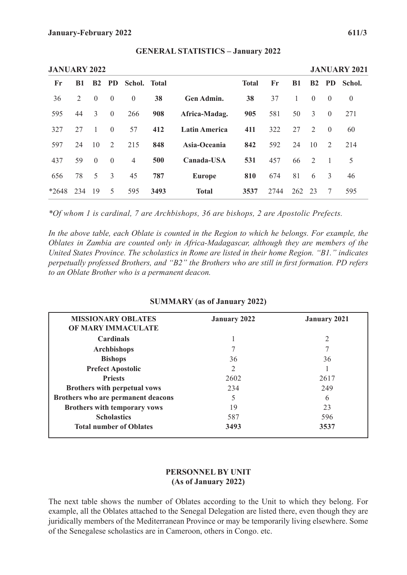|         | <b>JANUARY 2022</b> |                |                |                |      |                      |              |      |           |                |                |          |  |  |
|---------|---------------------|----------------|----------------|----------------|------|----------------------|--------------|------|-----------|----------------|----------------|----------|--|--|
| Fr      | <b>B1</b>           | B2             | <b>PD</b>      | Schol. Total   |      |                      | <b>Total</b> | Fr   | <b>B1</b> | B <sub>2</sub> | <b>PD</b>      | Schol.   |  |  |
| 36      | 2                   | $\theta$       | $\mathbf{0}$   | $\overline{0}$ | 38   | <b>Gen Admin.</b>    | 38           | 37   | 1         | $\theta$       | $\theta$       | $\theta$ |  |  |
| 595     | 44                  | 3              | $\mathbf{0}$   | 266            | 908  | Africa-Madag.        | 905          | 581  | 50        | 3              | $\theta$       | 271      |  |  |
| 327     | 27                  |                | $\overline{0}$ | 57             | 412  | <b>Latin America</b> | 411          | 322  | 27        | 2              | $\theta$       | 60       |  |  |
| 597     | 24                  | 10             | 2              | 215            | 848  | Asia-Oceania         | 842          | 592  | 24        | 10             | 2              | 214      |  |  |
| 437     | 59                  | $\overline{0}$ | $\overline{0}$ | $\overline{4}$ | 500  | Canada-USA           | 531          | 457  | 66        | 2              | $\overline{1}$ | 5        |  |  |
| 656     | 78                  | 5              | 3              | 45             | 787  | <b>Europe</b>        | 810          | 674  | 81        | 6              | 3              | 46       |  |  |
| $*2648$ | 234                 | 19             | 5              | 595            | 3493 | <b>Total</b>         | 3537         | 2744 | 262       | -23            | 7              | 595      |  |  |

#### **GENERAL STATISTICS – January 2022**

*\*Of whom 1 is cardinal, 7 are Archbishops, 36 are bishops, 2 are Apostolic Prefects.*

In the above table, each Oblate is counted in the Region to which he belongs. For example, the *Oblates in Zambia are counted only in Africa-Madagascar, although they are members of the United States Province. The scholastics in Rome are listed in their home Region. "B1." indicates perpetually professed Brothers, and "B2" the Brothers who are still in first formation. PD refers to an Oblate Brother who is a permanent deacon.*

### **SUMMARY (as of January 2022)**

| <b>MISSIONARY OBLATES</b><br><b>OF MARY IMMACULATE</b> | <b>January 2022</b> | <b>January 2021</b> |
|--------------------------------------------------------|---------------------|---------------------|
| <b>Cardinals</b>                                       |                     | 2                   |
| <b>Archbishops</b>                                     |                     |                     |
| <b>Bishops</b>                                         | 36                  | 36                  |
| <b>Prefect Apostolic</b>                               | 2                   |                     |
| <b>Priests</b>                                         | 2602                | 2617                |
| <b>Brothers with perpetual vows</b>                    | 234                 | 249                 |
| Brothers who are permanent deacons                     | 5                   | 6                   |
| Brothers with temporary vows                           | 19                  | 23                  |
| <b>Scholastics</b>                                     | 587                 | 596                 |
| <b>Total number of Oblates</b>                         | 3493                | 3537                |

# **PERSONNEL BY UNIT (As of January 2022)**

The next table shows the number of Oblates according to the Unit to which they belong. For example, all the Oblates attached to the Senegal Delegation are listed there, even though they are juridically members of the Mediterranean Province or may be temporarily living elsewhere. Some of the Senegalese scholastics are in Cameroon, others in Congo. etc.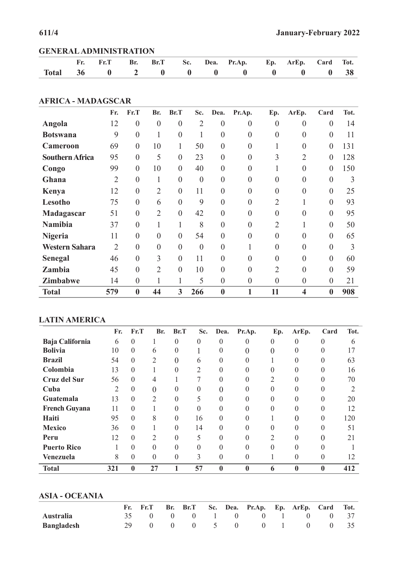|  |  |  | Fr. Fr.T Br. Br.T Sc. Dea. Pr.Ap. Ep. ArEp. Card Tot. |  |  |
|--|--|--|-------------------------------------------------------|--|--|
|  |  |  | Total 36 0 2 0 0 0 0 0 0 0 38                         |  |  |

## **AFRICA - MADAGSCAR**

|                        | Fr.            | Fr.T             | Br.              | Br.T             | Sc.            | Dea.             | Pr.Ap.           | Ep.            | ArEp.            | Card             | Tot. |
|------------------------|----------------|------------------|------------------|------------------|----------------|------------------|------------------|----------------|------------------|------------------|------|
| Angola                 | 12             | $\boldsymbol{0}$ | $\boldsymbol{0}$ | $\boldsymbol{0}$ | $\overline{2}$ | $\boldsymbol{0}$ | $\boldsymbol{0}$ | $\overline{0}$ | $\boldsymbol{0}$ | $\boldsymbol{0}$ | 14   |
| <b>Botswana</b>        | 9              | $\overline{0}$   | 1                | $\overline{0}$   | 1              | $\theta$         | 0                | $\theta$       | $\theta$         | $\overline{0}$   | 11   |
| <b>Cameroon</b>        | 69             | $\overline{0}$   | 10               |                  | 50             | $\theta$         | 0                |                | $\overline{0}$   | $\overline{0}$   | 131  |
| <b>Southern Africa</b> | 95             | $\boldsymbol{0}$ | 5                | $\overline{0}$   | 23             | $\overline{0}$   | 0                | 3              | $\overline{2}$   | $\boldsymbol{0}$ | 128  |
| Congo                  | 99             | $\boldsymbol{0}$ | 10               | $\boldsymbol{0}$ | 40             | $\theta$         | $\theta$         | 1              | $\boldsymbol{0}$ | $\boldsymbol{0}$ | 150  |
| Ghana                  | $\overline{2}$ | $\overline{0}$   | I.               | $\overline{0}$   | $\theta$       | $\theta$         | 0                | $\Omega$       | $\theta$         | $\overline{0}$   | 3    |
| Kenya                  | 12             | $\overline{0}$   | $\overline{2}$   | $\overline{0}$   | 11             | $\Omega$         | $\Omega$         | $\Omega$       | $\theta$         | $\overline{0}$   | 25   |
| Lesotho                | 75             | $\overline{0}$   | 6                | $\overline{0}$   | 9              | $\theta$         | 0                | $\overline{2}$ |                  | $\boldsymbol{0}$ | 93   |
| Madagascar             | 51             | $\boldsymbol{0}$ | $\overline{2}$   | $\overline{0}$   | 42             | $\theta$         | 0                | $\overline{0}$ | $\theta$         | $\boldsymbol{0}$ | 95   |
| <b>Namibia</b>         | 37             | $\overline{0}$   |                  | $\mathbf{1}$     | 8              | $\theta$         | $\theta$         | $\overline{2}$ |                  | $\overline{0}$   | 50   |
| <b>Nigeria</b>         | 11             | $\theta$         | $\overline{0}$   | $\theta$         | 54             | $\theta$         | 0                | $\Omega$       | $\theta$         | $\overline{0}$   | 65   |
| Western Sahara         | $\overline{2}$ | $\theta$         | $\theta$         | $\theta$         | $\theta$       | $\theta$         |                  | $\Omega$       | $\theta$         | $\overline{0}$   | 3    |
| <b>Senegal</b>         | 46             | $\boldsymbol{0}$ | 3                | $\overline{0}$   | 11             | $\overline{0}$   | 0                | 0              | $\boldsymbol{0}$ | $\boldsymbol{0}$ | 60   |
| Zambia                 | 45             | $\theta$         | $\overline{2}$   | $\theta$         | 10             | $\theta$         | $\theta$         | $\overline{2}$ | $\theta$         | $\overline{0}$   | 59   |
| <b>Zimbabwe</b>        | 14             | $\overline{0}$   |                  | $\mathbf{1}$     | 5              | $\theta$         | $\overline{0}$   | $\overline{0}$ | $\overline{0}$   | $\boldsymbol{0}$ | 21   |
| <b>Total</b>           | 579            | $\bf{0}$         | 44               | 3                | 266            | $\bf{0}$         |                  | 11             | 4                | $\boldsymbol{0}$ | 908  |

# **LATIN AMERICA**

|                        | Fr. | Fr.T             | Br.            | Br.T     | Sc.                      | Dea.     | Pr.Ap.           | Ep.              | ArEp.        | Card             | Tot. |
|------------------------|-----|------------------|----------------|----------|--------------------------|----------|------------------|------------------|--------------|------------------|------|
| <b>Baja California</b> | 6   | $\theta$         |                | $\theta$ | $\theta$                 | 0        | $\theta$         | $\boldsymbol{0}$ | $\theta$     | $\theta$         | 6    |
| <b>Bolivia</b>         | 10  | $\Omega$         | 6              | $\Omega$ |                          | 0        | 0                | 0                | 0            | 0                | 17   |
| <b>Brazil</b>          | 54  | $\theta$         | $\overline{2}$ | 0        | 6                        | 0        | $\theta$         |                  |              | 0                | 63   |
| Colombia               | 13  | $\theta$         |                | $\Omega$ | 2                        | 0        | 0                | $\theta$         | 0            | $\theta$         | 16   |
| <b>Cruz del Sur</b>    | 56  | $\Omega$         | 4              |          |                          | 0        | 0                | 2                |              |                  | 70   |
| Cuba                   | 2   | $\Omega$         | $\theta$       | $\Omega$ | 0                        | 0        | $\theta$         | $\Omega$         | 0            | 0                |      |
| Guatemala              | 13  | $\Omega$         | 2              | $\Omega$ | 5                        | 0        | 0                | 0                |              |                  | 20   |
| <b>French Guyana</b>   | 11  | $\Omega$         |                | $\Omega$ | $\Omega$                 | 0        | $\theta$         | $\Omega$         | $\theta$     | $\theta$         | 12   |
| Haiti                  | 95  | $\Omega$         | 8              | $\Omega$ | 16                       | 0        | 0                |                  |              | 0                | 120  |
| <b>Mexico</b>          | 36  | $\mathbf{0}$     |                | $\theta$ | 14                       | 0        | $\theta$         | $\Omega$         | $\theta$     | $\Omega$         | 51   |
| Peru                   | 12  | $\theta$         | 2              | $\Omega$ | $\overline{\mathcal{L}}$ | 0        | 0                | 2                | 0            |                  | 21   |
| <b>Puerto Rico</b>     |     | $\mathbf{0}$     | $\theta$       | $\Omega$ | $\Omega$                 | 0        | $\theta$         | $\Omega$         | $\Omega$     | 0                |      |
| Venezuela              | 8   | $\overline{0}$   | $\theta$       | $\Omega$ | 3                        | 0        | $\theta$         |                  | 0            | $\theta$         | 12   |
| <b>Total</b>           | 321 | $\boldsymbol{0}$ | 27             |          | 57                       | $\bf{0}$ | $\boldsymbol{0}$ | 6                | $\mathbf{0}$ | $\boldsymbol{0}$ | 412  |

# **ASIA - OCEANIA**

|                   |  |  |  | Fr. Fr.T Br. Br.T Sc. Dea. Pr.Ap. Ep. ArEp. Card Tot. |  |  |
|-------------------|--|--|--|-------------------------------------------------------|--|--|
| <b>Australia</b>  |  |  |  | 35 0 0 0 1 0 0 1 0 0 37                               |  |  |
| <b>Bangladesh</b> |  |  |  | 29 0 0 0 5 0 0 1 0 0 35                               |  |  |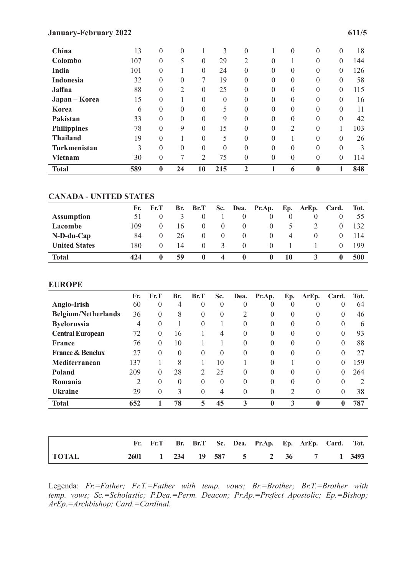#### **January-February 2022 611/5**

| China               | 13  | $\theta$         | $\theta$ |                  | 3        | $\boldsymbol{0}$ |                | $\theta$ | 0        | 0        | 18  |
|---------------------|-----|------------------|----------|------------------|----------|------------------|----------------|----------|----------|----------|-----|
| Colombo             | 107 | $\boldsymbol{0}$ | 5        | $\boldsymbol{0}$ | 29       | $\overline{2}$   | $\theta$       |          | 0        | $\theta$ | 144 |
| India               | 101 | $\mathbf{0}$     |          | $\boldsymbol{0}$ | 24       | $\boldsymbol{0}$ | $\theta$       | $\theta$ | $\theta$ | $\theta$ | 126 |
| <b>Indonesia</b>    | 32  | $\theta$         | $\theta$ | 7                | 19       | $\overline{0}$   | $\theta$       | $\Omega$ | $\theta$ | $\theta$ | 58  |
| Jaffna              | 88  | $\mathbf{0}$     | 2        | $\theta$         | 25       | $\overline{0}$   | $\theta$       | $\Omega$ | $\theta$ | $\theta$ | 115 |
| Japan – Korea       | 15  | $\theta$         |          | $\theta$         | $\theta$ | $\overline{0}$   | $\theta$       | $\theta$ | $\theta$ | $\theta$ | 16  |
| Korea               | 6   | $\boldsymbol{0}$ | $\theta$ | $\boldsymbol{0}$ | 5        | $\overline{0}$   | $\theta$       | $\theta$ | $\theta$ | $\theta$ | 11  |
| Pakistan            | 33  | $\mathbf{0}$     | $\Omega$ | $\theta$         | 9        | $\overline{0}$   | $\overline{0}$ | $\theta$ | $\theta$ | $\theta$ | 42  |
| <b>Philippines</b>  | 78  | $\theta$         | 9        | $\theta$         | 15       | $\overline{0}$   | $\theta$       | 2        | $\theta$ |          | 103 |
| <b>Thailand</b>     | 19  | $\theta$         |          | $\theta$         | 5        | $\overline{0}$   | $\theta$       |          | $\theta$ | $\theta$ | 26  |
| <b>Turkmenistan</b> | 3   | $\theta$         | $\theta$ | $\theta$         | $\Omega$ | $\overline{0}$   | $\theta$       | $\Omega$ | $\theta$ | $\theta$ | 3   |
| <b>Vietnam</b>      | 30  | $\boldsymbol{0}$ | 7        | $\overline{2}$   | 75       | $\overline{0}$   | $\theta$       | $\theta$ | 0        | $\theta$ | 114 |
| <b>Total</b>        | 589 | $\bf{0}$         | 24       | 10               | 215      | $\mathbf{2}$     |                | 6        | 0        |          | 848 |

#### **CANADA - UNITED STATES**

|                      | Fr. | $\mathbf{Fr. T}$ | Br. | Br.T         | Sc. |              | Dea. Pr.Ap.  |          | Ep. ArEp. Card. |   | Tot. |
|----------------------|-----|------------------|-----|--------------|-----|--------------|--------------|----------|-----------------|---|------|
| <b>Assumption</b>    | 51  |                  |     |              |     |              | $\theta$     | $\theta$ |                 |   | 55   |
| Lacombe              | 09  |                  | 16  |              |     |              | $\theta$     |          |                 |   | 132  |
| $N-D-du-Cap$         | 84  | $\theta$         | 26  |              |     | $\theta$     | $\theta$     | 4        |                 |   | 114  |
| <b>United States</b> | 180 | $\theta$         | 14  |              |     |              | $\theta$     |          |                 |   | 199  |
| <b>Total</b>         | 424 | $\mathbf{0}$     | 59  | $\mathbf{0}$ | 4   | $\mathbf{0}$ | $\mathbf{u}$ | 10       |                 | Ð | 500  |

#### **EUROPE**

|                             | Fr.            | Fr.T     | Br.      | Br.T     | Sc.      | Dea.     | Pr.Ap.           | Ep.            | ArEp.    | Card.    | Tot.                        |
|-----------------------------|----------------|----------|----------|----------|----------|----------|------------------|----------------|----------|----------|-----------------------------|
| Anglo-Irish                 | 60             | 0        | 4        | $\theta$ | $\theta$ | 0        |                  | 0              |          |          | 64                          |
| <b>Belgium/Netherlands</b>  | 36             | $\theta$ | 8        | $\theta$ | $\theta$ | 2        | $\theta$         | $\Omega$       | 0        | 0        | 46                          |
| <b>Byelorussia</b>          | 4              | $\theta$ |          | $\theta$ |          | $\theta$ | $\theta$         | $\Omega$       | 0        | $\Omega$ | 6                           |
| <b>Central European</b>     | 72             | $\theta$ | 16       |          | 4        | $\theta$ | $\theta$         | $\Omega$       | 0        | 0        | 93                          |
| <b>France</b>               | 76             | $\theta$ | 10       |          |          | $\theta$ | $\theta$         | $\Omega$       | 0        | 0        | 88                          |
| <b>France &amp; Benelux</b> | 27             | $\Omega$ | $\theta$ | $\theta$ | $\theta$ | $\Omega$ | $\Omega$         | $\Omega$       | 0        | 0        | 27                          |
| Mediterranean               | 137            |          | 8        |          | 10       |          | $\Omega$         |                | 0        | 0        | 159                         |
| Poland                      | 209            | $\theta$ | 28       | 2        | 25       | $\theta$ | $\Omega$         | $\Omega$       | $\Omega$ | 0        | 264                         |
| Romania                     | $\overline{2}$ | $\Omega$ | $\Omega$ | $\Omega$ | $\theta$ | $\theta$ | $\Omega$         | $\Omega$       | $\Omega$ | $\Omega$ | $\mathcal{D}_{\mathcal{L}}$ |
| <b>Ukraine</b>              | 29             | $\theta$ | 3        | $\theta$ | 4        | $\theta$ | $\theta$         | $\overline{2}$ | $\Omega$ | 0        | 38                          |
| <b>Total</b>                | 652            |          | 78       | 5        | 45       | 3        | $\boldsymbol{0}$ | 3              | $\bf{0}$ | 0        | 787                         |
|                             |                |          |          |          |          |          |                  |                |          |          |                             |

|              |  |  |  | Fr. Fr.T Br. Br.T Sc. Dea. Pr.Ap. Ep. ArEp. Card. Tot. |  |  |
|--------------|--|--|--|--------------------------------------------------------|--|--|
| <b>TOTAL</b> |  |  |  | 2601 1 234 19 587 5 2 36 7 1 3493                      |  |  |

Legenda: *Fr.=Father; Fr.T.=Father with temp. vows; Br.=Brother; Br.T.=Brother with temp. vows; Sc.=Scholastic; P.Dea.=Perm. Deacon; Pr.Ap.=Prefect Apostolic; Ep.=Bishop; ArEp.=Archbishop; Card.=Cardinal.*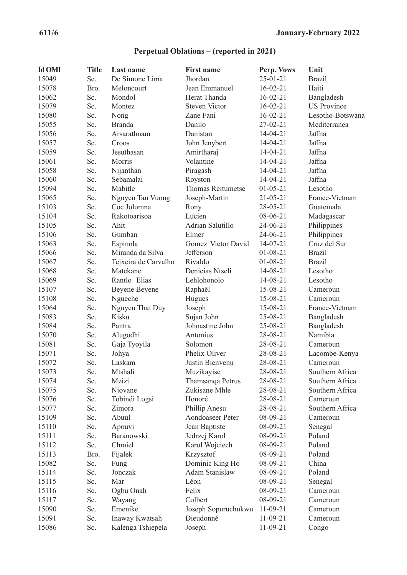# **Perpetual Oblations – (reported in 2021)**

| <b>Id OMI</b> | <b>Title</b> | Last name            | <b>First name</b>    | Perp. Vows     | Unit               |
|---------------|--------------|----------------------|----------------------|----------------|--------------------|
| 15049         | Sc.          | De Simone Lima       | Jhordan              | $25 - 01 - 21$ | <b>Brazil</b>      |
| 15078         | Bro.         | Meloncourt           | Jean Emmanuel        | $16 - 02 - 21$ | Haiti              |
| 15062         | Sc.          | Mondol               | Herat Thanda         | $16-02-21$     | Bangladesh         |
| 15079         | Sc.          | Montez               | <b>Steven Victor</b> | $16 - 02 - 21$ | <b>US Province</b> |
| 15080         | Sc.          | Nong                 | Zane Fani            | $16 - 02 - 21$ | Lesotho-Botswana   |
| 15055         | Sc.          | <b>Branda</b>        | Danilo               | 27-02-21       | Mediterranea       |
| 15056         | Sc.          | Arsarathnam          | Danistan             | $14-04-21$     | Jaffna             |
| 15057         | Sc.          | Croos                | John Jenybert        | $14-04-21$     | Jaffna             |
| 15059         | Sc.          | Jesuthasan           | Amirtharaj           | $14-04-21$     | Jaffna             |
| 15061         | Sc.          | Morris               | Volantine            | $14-04-21$     | Jaffna             |
| 15058         | Sc.          | Nijanthan            | Piragash             | $14-04-21$     | Jaffna             |
| 15060         | Sc.          | Sebamalai            | Royston              | $14-04-21$     | Jaffna             |
| 15094         | Sc.          | Mabitle              | Thomas Reitumetse    | $01 - 05 - 21$ | Lesotho            |
| 15065         | Sc.          | Nguyen Tan Vuong     | Joseph-Martin        | $21 - 05 - 21$ | France-Vietnam     |
| 15103         | Sc.          | Coc Jolomna          | Rony                 | $28 - 05 - 21$ | Guatemala          |
| 15104         | Sc.          | Rakotoarisoa         | Lucien               | 08-06-21       | Madagascar         |
| 15105         | Sc.          | Ahit                 | Adrian Salutillo     | 24-06-21       | Philippines        |
| 15106         | Sc.          | Gumban               | Elmer                | 24-06-21       | Philippines        |
| 15063         | Sc.          | Espinola             | Gomez Victor David   | $14-07-21$     | Cruz del Sur       |
| 15066         | Sc.          | Miranda da Silva     | Jefferson            | $01 - 08 - 21$ | <b>Brazil</b>      |
| 15067         | Sc.          | Teixeira de Carvalho | Rivaldo              | $01 - 08 - 21$ | <b>Brazil</b>      |
| 15068         | Sc.          | Matekane             | Denicias Ntseli      | 14-08-21       | Lesotho            |
| 15069         | Sc.          | Rantlo Elias         | Lehlohonolo          | 14-08-21       | Lesotho            |
| 15107         | Sc.          | Beyene Beyene        | Raphaël              | 15-08-21       | Cameroun           |
| 15108         | Sc.          | Ngueche              | Hugues               | 15-08-21       | Cameroun           |
| 15064         | Sc.          | Nguyen Thai Duy      | Joseph               | 15-08-21       | France-Vietnam     |
| 15083         | Sc.          | Kisku                | Sujan John           | 25-08-21       | Bangladesh         |
| 15084         | Sc.          | Pantra               | Johnastine John      | 25-08-21       | Bangladesh         |
| 15070         | Sc.          | Alugodhi             | Antonius             | 28-08-21       | Namibia            |
| 15081         | Sc.          | Gaja Tyoyila         | Solomon              | 28-08-21       | Cameroun           |
| 15071         | Sc.          | Johya                | Phelix Oliver        | 28-08-21       | Lacombe-Kenya      |
| 15072         | Sc.          | Laskam               | Justin Bienvenu      | 28-08-21       | Cameroun           |
| 15073         | Sc.          | Mtshali              | Muzikayise           | 28-08-21       | Southern Africa    |
| 15074         | Sc.          | Mzizi                | Thamsanqa Petrus     | 28-08-21       | Southern Africa    |
| 15075         | Sc.          | Njovane              | Zukisane Mhle        | 28-08-21       | Southern Africa    |
| 15076         | Sc.          | Tobindi Logsi        | Honoré               | 28-08-21       | Cameroun           |
| 15077         | Sc.          | Zimora               | Phillip Anesu        | 28-08-21       | Southern Africa    |
| 15109         | Sc.          | Abuul                | Aondoaseer Peter     | 08-09-21       | Cameroun           |
| 15110         | Sc.          | Apouvi               | Jean Baptiste        | 08-09-21       | Senegal            |
| 15111         | Sc.          | Baranowski           | Jedrzej Karol        | 08-09-21       | Poland             |
| 15112         | Sc.          | Chmiel               | Karol Wojciech       | 08-09-21       | Poland             |
| 15113         | Bro.         | Fijalek              | Krzysztof            | 08-09-21       | Poland             |
| 15082         | Sc.          | Fung                 | Dominic King Ho      | 08-09-21       | China              |
| 15114         | Sc.          | Jonczak              | Adam Stanislaw       | 08-09-21       | Poland             |
| 15115         | Sc.          | Mar                  | Léon                 | 08-09-21       | Senegal            |
| 15116         | Sc.          | Ogbu Onah            | Felix                | 08-09-21       | Cameroun           |
| 15117         | Sc.          | Wayang               | Colbert              | 08-09-21       | Cameroun           |
| 15090         | Sc.          | Emenike              | Joseph Sopuruchukwu  | $11-09-21$     | Cameroun           |
| 15091         | Sc.          | Inaway Kwatsah       | Dieudonné            | $11-09-21$     | Cameroun           |
| 15086         | Sc.          | Kalenga Tshiepela    | Joseph               | $11-09-21$     | Congo              |
|               |              |                      |                      |                |                    |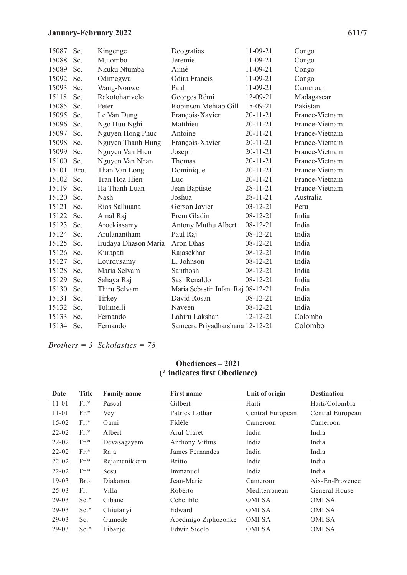# **January-February 2022 611/7**

| 15087 | Sc.  | Kingenge             | Deogratias                         | $11-09-21$     | Congo          |
|-------|------|----------------------|------------------------------------|----------------|----------------|
| 15088 | Sc.  | Mutombo              | Jeremie                            | $11-09-21$     | Congo          |
| 15089 | Sc.  | Nkuku Ntumba         | Aimé                               | $11-09-21$     | Congo          |
| 15092 | Sc.  | Odimegwu             | Odira Francis                      | $11-09-21$     | Congo          |
| 15093 | Sc.  | Wang-Nouwe           | Paul                               | $11-09-21$     | Cameroun       |
| 15118 | Sc.  | Rakotoharivelo       | Georges Rémi                       | 12-09-21       | Madagascar     |
| 15085 | Sc.  | Peter                | Robinson Mehtab Gill               | 15-09-21       | Pakistan       |
| 15095 | Sc.  | Le Van Dung          | François-Xavier                    | $20 - 11 - 21$ | France-Vietnam |
| 15096 | Sc.  | Ngo Huu Nghi         | Matthieu                           | $20 - 11 - 21$ | France-Vietnam |
| 15097 | Sc.  | Nguyen Hong Phuc     | Antoine                            | $20 - 11 - 21$ | France-Vietnam |
| 15098 | Sc.  | Nguyen Thanh Hung    | François-Xavier                    | $20 - 11 - 21$ | France-Vietnam |
| 15099 | Sc.  | Nguyen Van Hieu      | Joseph                             | $20 - 11 - 21$ | France-Vietnam |
| 15100 | Sc.  | Nguyen Van Nhan      | Thomas                             | $20 - 11 - 21$ | France-Vietnam |
| 15101 | Bro. | Than Van Long        | Dominique                          | $20 - 11 - 21$ | France-Vietnam |
| 15102 | Sc.  | Tran Hoa Hien        | Luc                                | $20 - 11 - 21$ | France-Vietnam |
| 15119 | Sc.  | Ha Thanh Luan        | Jean Baptiste                      | $28 - 11 - 21$ | France-Vietnam |
| 15120 | Sc.  | Nash                 | Joshua                             | $28 - 11 - 21$ | Australia      |
| 15121 | Sc.  | Rios Salhuana        | Gerson Javier                      | $03 - 12 - 21$ | Peru           |
| 15122 | Sc.  | Amal Raj             | Prem Gladin                        | $08 - 12 - 21$ | India          |
| 15123 | Sc.  | Arockiasamy          | Antony Muthu Albert                | $08 - 12 - 21$ | India          |
| 15124 | Sc.  | Arulanantham         | Paul Raj                           | $08 - 12 - 21$ | India          |
| 15125 | Sc.  | Irudaya Dhason Maria | Aron Dhas                          | $08 - 12 - 21$ | India          |
| 15126 | Sc.  | Kurapati             | Rajasekhar                         | $08 - 12 - 21$ | India          |
| 15127 | Sc.  | Lourdusamy           | L. Johnson                         | $08 - 12 - 21$ | India          |
| 15128 | Sc.  | Maria Selvam         | Santhosh                           | $08 - 12 - 21$ | India          |
| 15129 | Sc.  | Sahaya Raj           | Sasi Renaldo                       | $08 - 12 - 21$ | India          |
| 15130 | Sc.  | Thiru Selvam         | Maria Sebastin Infant Raj 08-12-21 |                | India          |
| 15131 | Sc.  | Tirkey               | David Rosan                        | $08 - 12 - 21$ | India          |
| 15132 | Sc.  | Tulimelli            | Naveen                             | $08 - 12 - 21$ | India          |
| 15133 | Sc.  | Fernando             | Lahiru Lakshan                     | $12 - 12 - 21$ | Colombo        |
| 15134 | Sc.  | Fernando             | Sameera Priyadharshana 12-12-21    |                | Colombo        |

*Brothers = 3 Scholastics = 78*

#### **Obediences – 2021 (\* indicates first Obedience)**

| Date      | <b>Title</b> | <b>Family name</b> | <b>First name</b>   | Unit of origin   | <b>Destination</b> |
|-----------|--------------|--------------------|---------------------|------------------|--------------------|
| $11 - 01$ | $Fr.*$       | Pascal             | Gilbert             | Haiti            | Haiti/Colombia     |
| $11 - 01$ | $Fr.*$       | Vey                | Patrick Lothar      | Central European | Central European   |
| $15-02$   | $Fr.*$       | Gami               | Fidèle              | Cameroon         | Cameroon           |
| $22 - 02$ | $Fr.*$       | Albert             | Arul Claret         | India            | India              |
| $22 - 02$ | $Fr.*$       | Devasagayam        | Anthony Vithus      | India            | India              |
| $22 - 02$ | $Fr.*$       | Raja               | James Fernandes     | India            | India              |
| $22 - 02$ | $Fr.*$       | Rajamanikkam       | <b>Britto</b>       | India            | India              |
| $22 - 02$ | $Fr.*$       | Sesu               | Immanuel            | India            | India              |
| $19-03$   | Bro.         | Diakanou           | Jean-Marie          | Cameroon         | Aix-En-Provence    |
| $25-03$   | Fr.          | Villa              | Roberto             | Mediterranean    | General House      |
| $29-03$   | $Sc.*$       | Cibane             | Cebelihle           | OMI SA           | OMI SA             |
| $29-03$   | $Sc.*$       | Chiutanyi          | Edward              | OMI SA           | OMI SA             |
| $29-03$   | Sc.          | Gumede             | Abedmigo Ziphozonke | OMI SA           | <b>OMISA</b>       |
| $29-03$   | $Sc.*$       | Libanje            | Edwin Sicelo        | OMI SA           | OMI SA             |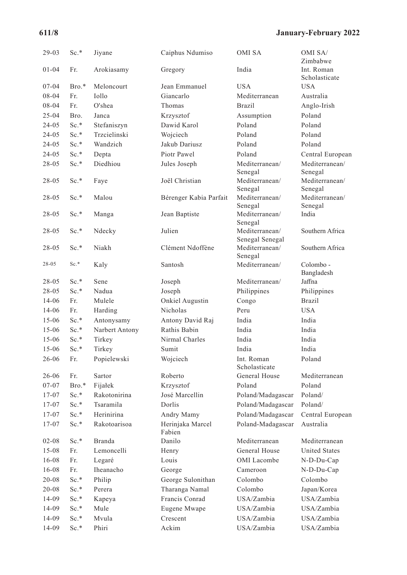# **611/8 January-February 2022**

| $29-03$   | $Sc.*$  | Jiyane         | Caiphus Ndumiso            | OMI SA                            | OMI SA/<br>Zimbabwe       |
|-----------|---------|----------------|----------------------------|-----------------------------------|---------------------------|
| $01 - 04$ | Fr.     | Arokiasamy     | Gregory                    | India                             | Int. Roman                |
|           |         |                |                            |                                   | Scholasticate             |
| $07 - 04$ | Bro.*   | Meloncourt     | Jean Emmanuel              | <b>USA</b>                        | <b>USA</b>                |
| 08-04     | Fr.     | Iollo          | Giancarlo                  | Mediterranean                     | Australia                 |
| 08-04     | Fr.     | O'shea         | Thomas                     | <b>Brazil</b>                     | Anglo-Irish               |
| $25 - 04$ | Bro.    | Janca          | Krzysztof                  | Assumption                        | Poland                    |
| $24 - 05$ | $Sc.*$  | Stefaniszyn    | Dawid Karol                | Poland                            | Poland                    |
| $24 - 05$ | Sc.*    | Trzcielinski   | Wojciech                   | Poland                            | Poland                    |
| $24-05$   | $Sc.*$  | Wandzich       | Jakub Dariusz              | Poland                            | Poland                    |
| $24 - 05$ | $Sc.*$  | Depta          | Piotr Pawel                | Poland                            | Central European          |
| 28-05     | $Sc.*$  | Diedhiou       | Jules Joseph               | Mediterranean/                    | Mediterranean/            |
|           |         |                |                            | Senegal                           | Senegal                   |
| $28-05$   | $Sc.*$  | Faye           | Joël Christian             | Mediterranean/<br>Senegal         | Mediterranean/<br>Senegal |
| 28-05     | $Sc.*$  | Malou          | Bérenger Kabia Parfait     | Mediterranean/                    | Mediterranean/            |
|           |         |                |                            | Senegal                           | Senegal                   |
| 28-05     | $Sc.*$  | Manga          | Jean Baptiste              | Mediterranean/                    | India                     |
|           |         |                |                            | Senegal                           |                           |
| 28-05     | $Sc.*$  | Ndecky         | Julien                     | Mediterranean/                    | Southern Africa           |
|           |         |                | Clément Ndoffène           | Senegal Senegal<br>Mediterranean/ | Southern Africa           |
| $28 - 05$ | Sc.*    | Niakh          |                            | Senegal                           |                           |
| 28-05     | $Sc.*$  | Kaly           | Santosh                    | Mediterranean/                    | Colombo-                  |
|           |         |                |                            |                                   | Bangladesh                |
| $28-05$   | $Sc.*$  | Sene           | Joseph                     | Mediterranean/                    | Jaffna                    |
| 28-05     | Sc.*    | Nadua          | Joseph                     | Philippines                       | Philippines               |
| $14 - 06$ | Fr.     | Mulele         | Onkiel Augustin            | Congo                             | <b>Brazil</b>             |
| 14-06     | Fr.     | Harding        | <b>Nicholas</b>            | Peru                              | <b>USA</b>                |
| $15 - 06$ | $Sc.*$  | Antonysamy     | Antony David Raj           | India                             | India                     |
| $15-06$   | $Sc.*$  | Narbert Antony | Rathis Babin               | India                             | India                     |
| $15 - 06$ | $Sc.*$  | Tirkey         | Nirmal Charles             | India                             | India                     |
| $15 - 06$ | $Sc.*$  | Tirkey         | Sumit                      | India                             | India                     |
| 26-06     | Fr.     | Popielewski    | Wojciech                   | Int. Roman<br>Scholasticate       | Poland                    |
| 26-06     | Fr.     | Sartor         | Roberto                    | General House                     | Mediterranean             |
| $07 - 07$ | $Bro.*$ | Fijałek        | Krzysztof                  | Poland                            | Poland                    |
| 17-07     | $Sc.*$  | Rakotonirina   | José Marcellin             | Poland/Madagascar                 | Poland/                   |
| 17-07     | Sc.*    | Tsaramila      | Dorlis                     | Poland/Madagascar                 | Poland/                   |
| $17 - 07$ | Sc.*    | Herinirina     | Andry Mamy                 | Poland/Madagascar                 | Central European          |
| $17 - 07$ | $Sc.*$  | Rakotoarisoa   | Herinjaka Marcel<br>Fabien | Poland-Madagascar                 | Australia                 |
| $02 - 08$ | $Sc.*$  | <b>Branda</b>  | Danilo                     | Mediterranean                     | Mediterranean             |
| $15 - 08$ | Fr.     | Lemoncelli     | Henry                      | General House                     | <b>United States</b>      |
| 16-08     | Fr.     | Legaré         | Louis                      | OMI Lacombe                       | N-D-Du-Cap                |
| $16 - 08$ | Fr.     | Iheanacho      | George                     | Cameroon                          | N-D-Du-Cap                |
| $20 - 08$ | Sc.*    | Philip         | George Sulonithan          | Colombo                           | Colombo                   |
| $20 - 08$ | $Sc.*$  | Perera         | Tharanga Namal             | Colombo                           | Japan/Korea               |
| 14-09     | Sc.*    | Kapeya         | Francis Conrad             | USA/Zambia                        | USA/Zambia                |
| 14-09     | Sc.*    | Mule           | Eugene Mwape               | USA/Zambia                        | USA/Zambia                |
| 14-09     | Sc.*    | Mvula          | Crescent                   | USA/Zambia                        | USA/Zambia                |
| 14-09     | $Sc.*$  | Phiri          | Ackim                      | USA/Zambia                        | USA/Zambia                |
|           |         |                |                            |                                   |                           |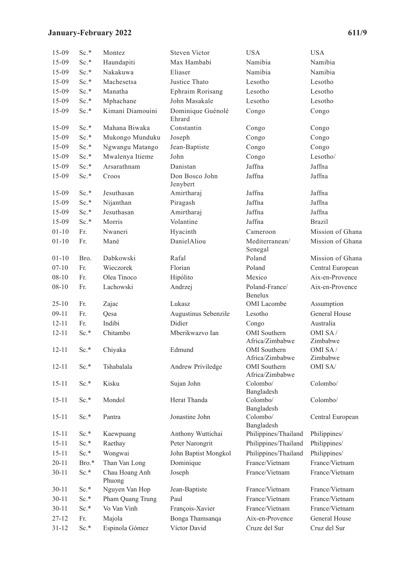# **January-February 2022 611/9**

| $15-09$   | $Sc.*$ | Montez                   | Steven Victor               | <b>USA</b>                      | <b>USA</b>           |
|-----------|--------|--------------------------|-----------------------------|---------------------------------|----------------------|
| $15-09$   | Sc.*   | Haundapiti               | Max Hambabi                 | Namibia                         | Namibia              |
| $15-09$   | $Sc.*$ | Nakakuwa                 | Eliaser                     | Namibia                         | Namibia              |
| $15-09$   | Sc.*   | Machesetsa               | Justice Thato               | Lesotho                         | Lesotho              |
| $15-09$   | Sc.*   | Manatha                  | Ephraim Rorisang            | Lesotho                         | Lesotho              |
| $15-09$   | $Sc.*$ | Mphachane                | John Masakale               | Lesotho                         | Lesotho              |
| 15-09     | $Sc.*$ | Kimani Diamouini         | Dominique Guénolé<br>Ehrard | Congo                           | Congo                |
| $15-09$   | $Sc.*$ | Mahana Biwaka            | Constantin                  | Congo                           | Congo                |
| $15-09$   | $Sc.*$ | Mukongo Munduku          | Joseph                      | Congo                           | Congo                |
| $15-09$   | Sc.*   | Ngwangu Matango          | Jean-Baptiste               | Congo                           | Congo                |
| $15-09$   | Sc.*   | Mwalenya Itieme          | John                        | Congo                           | Lesotho/             |
| $15-09$   | $Sc.*$ | Arsarathnam              | Danistan                    | Jaffna                          | Jaffna               |
| 15-09     | Sc.*   | Croos                    | Don Bosco John<br>Jenybert  | Jaffna                          | Jaffna               |
| $15-09$   | Sc.*   | Jesuthasan               | Amirtharaj                  | Jaffna                          | Jaffna               |
| 15-09     | Sc.*   | Nijanthan                | Piragash                    | Jaffna                          | Jaffna               |
| $15-09$   | Sc.*   | Jesuthasan               | Amirtharaj                  | Jaffna                          | Jaffna               |
| $15-09$   | $Sc.*$ | Morris                   | Volantine                   | Jaffna                          | <b>Brazil</b>        |
| $01 - 10$ | Fr.    | Nwaneri                  | Hyacinth                    | Cameroon                        | Mission of Ghana     |
| $01 - 10$ | Fr.    | Mané                     | DanielAliou                 | Mediterranean/<br>Senegal       | Mission of Ghana     |
| $01 - 10$ | Bro.   | Dabkowski                | Rafal                       | Poland                          | Mission of Ghana     |
| $07 - 10$ | Fr.    | Wieczorek                | Florian                     | Poland                          | Central European     |
| $08 - 10$ | Fr.    | Olea Tinoco              | Hipólito                    | Mexico                          | Aix-en-Provence      |
| $08 - 10$ | Fr.    | Lachowski                | Andrzej                     | Poland-France/<br>Benelux       | Aix-en-Provence      |
| $25 - 10$ | Fr.    | Zajac                    | Lukasz                      | <b>OMI</b> Lacombe              | Assumption           |
| $09-11$   | Fr.    | Qesa                     | Augustinus Sebenzile        | Lesotho                         | <b>General House</b> |
| $12 - 11$ | Fr.    | Indibi                   | Didier                      | Congo                           | Australia            |
| $12 - 11$ | Sc.*   | Chitambo                 | Mberikwazvo Ian             | OMI Southern<br>Africa/Zimbabwe | OMI SA/<br>Zimbabwe  |
| $12 - 11$ | Sc.*   | Chiyaka                  | Edmund                      | OMI Southern<br>Africa/Zimbabwe | OMI SA/<br>Zimbabwe  |
| $12 - 11$ | Sc.*   | Tshabalala               | Andrew Priviledge           | OMI Southern<br>Africa/Zimbabwe | OMI SA/              |
| $15 - 11$ | Sc.*   | Kisku                    | Sujan John                  | Colombo/<br>Bangladesh          | Colombo/             |
| $15 - 11$ | Sc.*   | Mondol                   | Herat Thanda                | Colombo/<br>Bangladesh          | Colombo/             |
| $15 - 11$ | Sc.*   | Pantra                   | Jonastine John              | Colombo/<br>Bangladesh          | Central European     |
| $15 - 11$ | $Sc.*$ | Kaewpuang                | Anthony Wuttichai           | Philippines/Thailand            | Philippines/         |
| $15 - 11$ | $Sc.*$ | Raethay                  | Peter Narongrit             | Philippines/Thailand            | Philippines/         |
| $15 - 11$ | Sc.*   | Wongwai                  | John Baptist Mongkol        | Philippines/Thailand            | Philippines/         |
| $20 - 11$ | Bro.*  | Than Van Long            | Dominique                   | France/Vietnam                  | France/Vietnam       |
| $30 - 11$ | $Sc.*$ | Chau Hoang Anh<br>Phuong | Joseph                      | France/Vietnam                  | France/Vietnam       |
| $30 - 11$ | Sc.*   | Nguyen Van Hop           | Jean-Baptiste               | France/Vietnam                  | France/Vietnam       |
| $30 - 11$ | $Sc.*$ | Pham Quang Trung         | Paul                        | France/Vietnam                  | France/Vietnam       |
| $30-11$   | Sc.*   | Vo Van Vinh              | François-Xavier             | France/Vietnam                  | France/Vietnam       |
| 27-12     | Fr.    | Majola                   | Bonga Thamsanqa             | Aix-en-Provence                 | General House        |
| $31 - 12$ | Sc.*   | Espinola Gómez           | Víctor David                | Cruze del Sur                   | Cruz del Sur         |
|           |        |                          |                             |                                 |                      |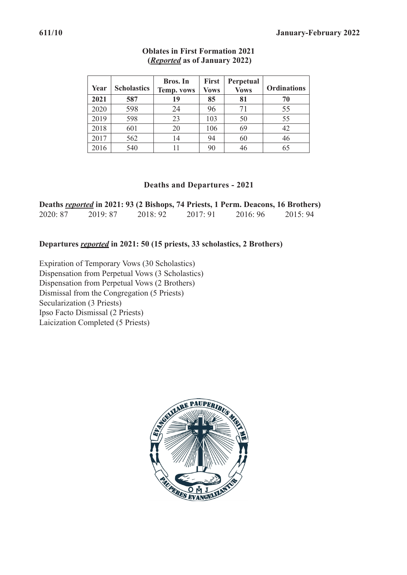| Year | <b>Scholastics</b> | <b>Bros.</b> In<br><b>Temp. vows</b> | <b>First</b><br><b>Vows</b> | Perpetual<br><b>Vows</b> | <b>Ordinations</b> |
|------|--------------------|--------------------------------------|-----------------------------|--------------------------|--------------------|
| 2021 | 587                | 19                                   | 85                          | 81                       | 70                 |
| 2020 | 598                | 24                                   | 96                          | 71                       | 55                 |
| 2019 | 598                | 23                                   | 103                         | 50                       | 55                 |
| 2018 | 601                | 20                                   | 106                         | 69                       | 42                 |
| 2017 | 562                | 14                                   | 94                          | 60                       | 46                 |
| 2016 | 540                | 11                                   | 90                          | 46                       | 65                 |

### **Oblates in First Formation 2021 (***Reported* **as of January 2022)**

#### **Deaths and Departures - 2021**

|          | Deaths <b><i>reported</i></b> in 2021: 93 (2 Bishops, 74 Priests, 1 Perm. Deacons, 16 Brothers) |          |          |          |         |
|----------|-------------------------------------------------------------------------------------------------|----------|----------|----------|---------|
| 2020: 87 | 2019: 87                                                                                        | 2018: 92 | 2017: 91 | 2016: 96 | 2015:94 |

### **Departures** *reported* **in 2021: 50 (15 priests, 33 scholastics, 2 Brothers)**

Expiration of Temporary Vows (30 Scholastics) Dispensation from Perpetual Vows (3 Scholastics) Dispensation from Perpetual Vows (2 Brothers) Dismissal from the Congregation (5 Priests) Secularization (3 Priests) Ipso Facto Dismissal (2 Priests) Laicization Completed (5 Priests)

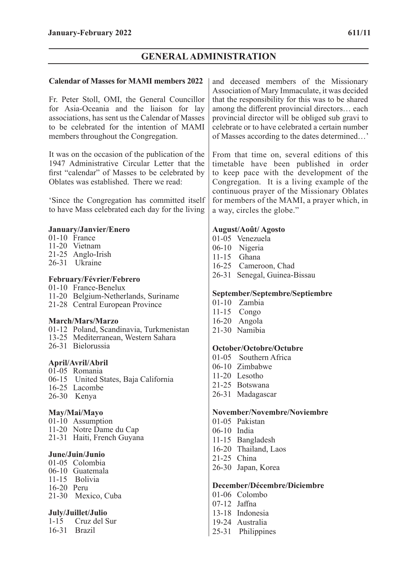# **GENERAL ADMINISTRATION**

#### **Calendar of Masses for MAMI members 2022**

Fr. Peter Stoll, OMI, the General Councillor for Asia-Oceania and the liaison for lay associations, has sent us the Calendar of Masses to be celebrated for the intention of MAMI members throughout the Congregation.

It was on the occasion of the publication of the 1947 Administrative Circular Letter that the first "calendar" of Masses to be celebrated by Oblates was established. There we read:

'Since the Congregation has committed itself to have Mass celebrated each day for the living

#### **January/Janvier/Enero**

- 01-10 France
- 11-20 Vietnam
- 21-25 Anglo-Irish
- 26-31 Ukraine

#### **February/Février/Febrero**

- 01-10 France-Benelux
- 11-20 Belgium-Netherlands, Suriname
- 21-28 Central European Province

#### **March/Mars/Marzo**

- 01-12 Poland, Scandinavia, Turkmenistan
- 13-25 Mediterranean, Western Sahara
- 26-31 Bielorussia

### **April/Avril/Abril**

- 01-05 Romania
- 06-15 United States, Baja California
- 16-25 Lacombe
- 26-30 Kenya

#### **May/Mai/Mayo**

01-10 Assumption 11-20 Notre Dame du Cap 21-31 Haiti, French Guyana

### **June/Juin/Junio**

01-05 Colombia 06-10 Guatemala 11-15 Bolivia 16-20 Peru 21-30 Mexico, Cuba

### **July/Juillet/Julio**

1-15 Cruz del Sur 16-31 Brazil

and deceased members of the Missionary Association of Mary Immaculate, it was decided that the responsibility for this was to be shared among the different provincial directors… each provincial director will be obliged sub gravi to celebrate or to have celebrated a certain number of Masses according to the dates determined…'

From that time on, several editions of this timetable have been published in order to keep pace with the development of the Congregation. It is a living example of the continuous prayer of the Missionary Oblates for members of the MAMI, a prayer which, in a way, circles the globe."

#### **August/Août/ Agosto**

- 01-05 Venezuela
- 06-10 Nigeria
- 11-15 Ghana
- 16-25 Cameroon, Chad
- 26-31 Senegal, Guinea-Bissau

#### **September/Septembre/Septiembre**

- 01-10 Zambia
- 11-15 Congo
- 16-20 Angola
- 21-30 Namibia

#### **October/Octobre/Octubre**

- 01-05 Southern Africa
- 06-10 Zimbabwe
- 11-20 Lesotho
- 21-25 Botswana
- 26-31 Madagascar

#### **November/Novembre/Noviembre**

- 01-05 Pakistan
- 06-10 India
- 11-15 Bangladesh
- 16-20 Thailand, Laos
- 21-25 China
- 26-30 Japan, Korea

#### **December/Décembre/Diciembre**

- 01-06 Colombo
- 07-12 Jaffna
- 13-18 Indonesia
- 19-24 Australia
- 25-31 Philippines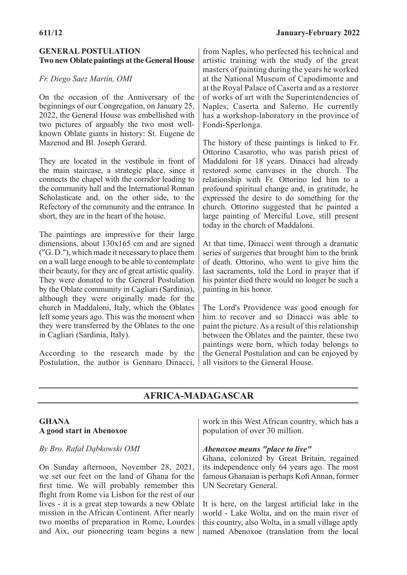## **GENERAL POSTULATION Two new Oblate paintings at the General House**

# *Fr. Diego Saez Martín, OMI*

On the occasion of the Anniversary of the beginnings of our Congregation, on January 25, 2022, the General House was embellished with two pictures of arguably the two most wellknown Oblate giants in history: St. Eugene de Mazenod and Bl. Joseph Gerard.

They are located in the vestibule in front of the main staircase, a strategic place, since it connects the chapel with the corridor leading to the community hall and the International Roman Scholasticate and, on the other side, to the Refectory of the community and the entrance. In short, they are in the heart of the house.

The paintings are impressive for their large dimensions, about 130x165 cm and are signed ("G. D."), which made it necessary to place them on a wall large enough to be able to contemplate their beauty, for they are of great artistic quality. They were donated to the General Postulation by the Oblate community in Cagliari (Sardinia), although they were originally made for the church in Maddaloni, Italy, which the Oblates left some years ago. This was the moment when they were transferred by the Oblates to the one in Cagliari (Sardinia, Italy).

According to the research made by the Postulation, the author is Gennaro Dinacci, all visitors to the General House.

from Naples, who perfected his technical and artistic training with the study of the great masters of painting during the years he worked at the National Museum of Capodimonte and at the Royal Palace of Caserta and as a restorer of works of art with the Superintendencies of Naples, Caserta and Salerno. He currently has a workshop-laboratory in the province of Fondi-Sperlonga.

The history of these paintings is linked to Fr. Ottorino Casarotto, who was parish priest of Maddaloni for 18 years. Dinacci had already restored some canvases in the church. The relationship with Fr. Ottorino led him to a profound spiritual change and, in gratitude, he expressed the desire to do something for the church. Ottorino suggested that he painted a large painting of Merciful Love, still present today in the church of Maddaloni.

At that time, Dinacci went through a dramatic series of surgeries that brought him to the brink of death. Ottorino, who went to give him the last sacraments, told the Lord in prayer that if his painter died there would no longer be such a painting in his honor.

The Lord's Providence was good enough for him to recover and so Dinacci was able to paint the picture. As a result of this relationship between the Oblates and the painter, these two paintings were born, which today belongs to the General Postulation and can be enjoyed by

# **AFRICA-MADAGASCAR**

### **GHANA A good start in Abenoxoe**

### *By Bro. Rafał Dąbkowski OMI*

On Sunday afternoon, November 28, 2021, we set our feet on the land of Ghana for the first time. We will probably remember this flight from Rome via Lisbon for the rest of our lives - it is a great step towards a new Oblate mission in the African Continent. After nearly two months of preparation in Rome, Lourdes and Aix, our pioneering team begins a new

work in this West African country, which has a population of over 30 million.

### *Abenoxoe means "place to live"*

Ghana, colonized by Great Britain, regained its independence only 64 years ago. The most famous Ghanaian is perhaps Kofi Annan, former UN Secretary General.

It is here, on the largest artificial lake in the world - Lake Wolta, and on the main river of this country, also Wolta, in a small village aptly named Abenoxoe (translation from the local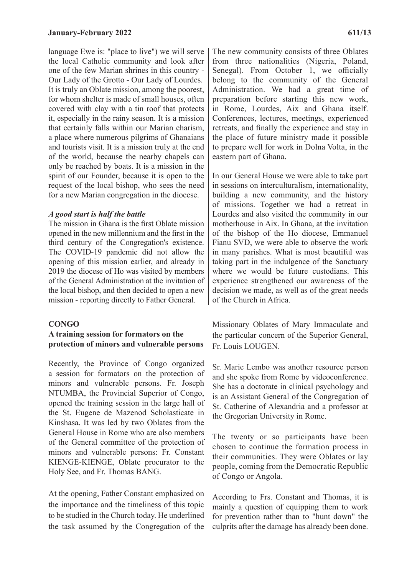language Ewe is: "place to live") we will serve the local Catholic community and look after one of the few Marian shrines in this country - Our Lady of the Grotto - Our Lady of Lourdes. It is truly an Oblate mission, among the poorest, for whom shelter is made of small houses, often covered with clay with a tin roof that protects it, especially in the rainy season. It is a mission that certainly falls within our Marian charism, a place where numerous pilgrims of Ghanaians and tourists visit. It is a mission truly at the end of the world, because the nearby chapels can only be reached by boats. It is a mission in the spirit of our Founder, because it is open to the request of the local bishop, who sees the need for a new Marian congregation in the diocese.

#### *A good start is half the battle*

The mission in Ghana is the first Oblate mission opened in the new millennium and the first in the third century of the Congregation's existence. The COVID-19 pandemic did not allow the opening of this mission earlier, and already in 2019 the diocese of Ho was visited by members of the General Administration at the invitation of the local bishop, and then decided to open a new mission - reporting directly to Father General.

#### **CONGO**

#### **A training session for formators on the protection of minors and vulnerable persons**

Recently, the Province of Congo organized a session for formators on the protection of minors and vulnerable persons. Fr. Joseph NTUMBA, the Provincial Superior of Congo, opened the training session in the large hall of the St. Eugene de Mazenod Scholasticate in Kinshasa. It was led by two Oblates from the General House in Rome who are also members of the General committee of the protection of minors and vulnerable persons: Fr. Constant KIENGE-KIENGE, Oblate procurator to the Holy See, and Fr. Thomas BANG.

At the opening, Father Constant emphasized on the importance and the timeliness of this topic to be studied in the Church today. He underlined the task assumed by the Congregation of the

The new community consists of three Oblates from three nationalities (Nigeria, Poland, Senegal). From October 1, we officially belong to the community of the General Administration. We had a great time of preparation before starting this new work, in Rome, Lourdes, Aix and Ghana itself. Conferences, lectures, meetings, experienced retreats, and finally the experience and stay in the place of future ministry made it possible to prepare well for work in Dolna Volta, in the eastern part of Ghana.

In our General House we were able to take part in sessions on interculturalism, internationality, building a new community, and the history of missions. Together we had a retreat in Lourdes and also visited the community in our motherhouse in Aix. In Ghana, at the invitation of the bishop of the Ho diocese, Emmanuel Fianu SVD, we were able to observe the work in many parishes. What is most beautiful was taking part in the indulgence of the Sanctuary where we would be future custodians. This experience strengthened our awareness of the decision we made, as well as of the great needs of the Church in Africa.

Missionary Oblates of Mary Immaculate and the particular concern of the Superior General, Fr. Louis LOUGEN.

Sr. Marie Lembo was another resource person and she spoke from Rome by videoconference. She has a doctorate in clinical psychology and is an Assistant General of the Congregation of St. Catherine of Alexandria and a professor at the Gregorian University in Rome.

The twenty or so participants have been chosen to continue the formation process in their communities. They were Oblates or lay people, coming from the Democratic Republic of Congo or Angola.

According to Frs. Constant and Thomas, it is mainly a question of equipping them to work for prevention rather than to "hunt down" the culprits after the damage has already been done.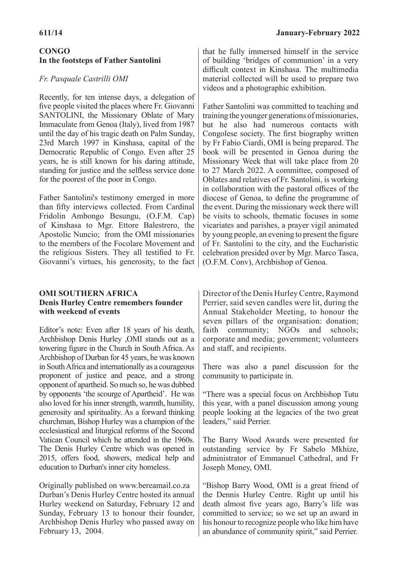## **CONGO In the footsteps of Father Santolini**

## *Fr. Pasquale Castrilli OMI*

Recently, for ten intense days, a delegation of five people visited the places where Fr. Giovanni SANTOLINI, the Missionary Oblate of Mary Immaculate from Genoa (Italy), lived from 1987 until the day of his tragic death on Palm Sunday, 23rd March 1997 in Kinshasa, capital of the Democratic Republic of Congo. Even after 25 years, he is still known for his daring attitude, standing for justice and the selfless service done for the poorest of the poor in Congo.

Father Santolini's testimony emerged in more than fifty interviews collected. From Cardinal Fridolin Ambongo Besungu, (O.F.M. Cap) of Kinshasa to Mgr. Ettore Balestrero, the Apostolic Nuncio; from the OMI missionaries to the members of the Focolare Movement and the religious Sisters. They all testified to Fr. Giovanni's virtues, his generosity, to the fact

### **OMI SOUTHERN AFRICA Denis Hurley Centre remembers founder with weekend of events**

Editor's note: Even after 18 years of his death, Archbishop Denis Hurley ,OMI stands out as a towering figure in the Church in South Africa. As Archbishop of Durban for 45 years, he was known in South Africa and internationally as a courageous proponent of justice and peace, and a strong opponent of apartheid. So much so, he was dubbed by opponents 'the scourge of Apartheid'. He was also loved for his inner strength, warmth, humility, generosity and spirituality. As a forward thinking churchman, Bishop Hurley was a champion of the ecclesiastical and liturgical reforms of the Second Vatican Council which he attended in the 1960s. The Denis Hurley Centre which was opened in 2015, offers food, showers, medical help and education to Durban's inner city homeless.

Originally published on www.bereamail.co.za Durban's Denis Hurley Centre hosted its annual Hurley weekend on Saturday, February 12 and Sunday, February 13 to honour their founder, Archbishop Denis Hurley who passed away on February 13, 2004.

that he fully immersed himself in the service of building 'bridges of communion' in a very difficult context in Kinshasa. The multimedia material collected will be used to prepare two videos and a photographic exhibition.

Father Santolini was committed to teaching and training the younger generations of missionaries, but he also had numerous contacts with Congolese society. The first biography written by Fr Fabio Ciardi, OMI is being prepared. The book will be presented in Genoa during the Missionary Week that will take place from 20 to 27 March 2022. A committee, composed of Oblates and relatives of Fr. Santolini, is working in collaboration with the pastoral offices of the diocese of Genoa, to define the programme of the event. During the missionary week there will be visits to schools, thematic focuses in some vicariates and parishes, a prayer vigil animated by young people, an evening to present the figure of Fr. Santolini to the city, and the Eucharistic celebration presided over by Mgr. Marco Tasca, (O.F.M. Conv), Archbishop of Genoa.

Director of the Denis Hurley Centre, Raymond Perrier, said seven candles were lit, during the Annual Stakeholder Meeting, to honour the seven pillars of the organisation: donation; faith community; NGOs and schools; corporate and media; government; volunteers and staff, and recipients.

There was also a panel discussion for the community to participate in.

"There was a special focus on Archbishop Tutu this year, with a panel discussion among young people looking at the legacies of the two great leaders," said Perrier.

The Barry Wood Awards were presented for outstanding service by Fr Sabelo Mkhize, administrator of Emmanuel Cathedral, and Fr Joseph Money, OMI.

"Bishop Barry Wood, OMI is a great friend of the Dennis Hurley Centre. Right up until his death almost five years ago, Barry's life was committed to service; so we set up an award in his honour to recognize people who like him have an abundance of community spirit," said Perrier.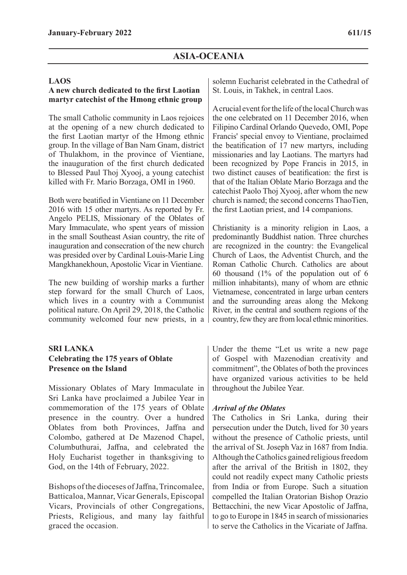#### **LAOS**

## **A new church dedicated to the first Laotian martyr catechist of the Hmong ethnic group**

The small Catholic community in Laos rejoices at the opening of a new church dedicated to the first Laotian martyr of the Hmong ethnic group. In the village of Ban Nam Gnam, district of Thulakhom, in the province of Vientiane, the inauguration of the first church dedicated to Blessed Paul Thoj Xyooj, a young catechist killed with Fr. Mario Borzaga, OMI in 1960.

Both were beatified in Vientiane on 11 December 2016 with 15 other martyrs. As reported by Fr. Angelo PELIS, Missionary of the Oblates of Mary Immaculate, who spent years of mission in the small Southeast Asian country, the rite of inauguration and consecration of the new church was presided over by Cardinal Louis-Marie Ling Mangkhanekhoun, Apostolic Vicar in Vientiane.

The new building of worship marks a further step forward for the small Church of Laos, which lives in a country with a Communist political nature. On April 29, 2018, the Catholic community welcomed four new priests, in a

## **SRI LANKA Celebrating the 175 years of Oblate Presence on the Island**

Missionary Oblates of Mary Immaculate in Sri Lanka have proclaimed a Jubilee Year in commemoration of the 175 years of Oblate presence in the country. Over a hundred Oblates from both Provinces, Jaffna and Colombo, gathered at De Mazenod Chapel, Columbuthurai, Jaffna, and celebrated the Holy Eucharist together in thanksgiving to God, on the 14th of February, 2022.

Bishops of the dioceses of Jaffna, Trincomalee, Batticaloa, Mannar, Vicar Generals, Episcopal Vicars, Provincials of other Congregations, Priests, Religious, and many lay faithful graced the occasion.

solemn Eucharist celebrated in the Cathedral of St. Louis, in Takhek, in central Laos.

A crucial event for the life of the local Church was the one celebrated on 11 December 2016, when Filipino Cardinal Orlando Quevedo, OMI, Pope Francis' special envoy to Vientiane, proclaimed the beatification of 17 new martyrs, including missionaries and lay Laotians. The martyrs had been recognized by Pope Francis in 2015, in two distinct causes of beatification: the first is that of the Italian Oblate Mario Borzaga and the catechist Paolo Thoj Xyooj, after whom the new church is named; the second concerns ThaoTien, the first Laotian priest, and 14 companions.

Christianity is a minority religion in Laos, a predominantly Buddhist nation. Three churches are recognized in the country: the Evangelical Church of Laos, the Adventist Church, and the Roman Catholic Church. Catholics are about 60 thousand (1% of the population out of 6 million inhabitants), many of whom are ethnic Vietnamese, concentrated in large urban centers and the surrounding areas along the Mekong River, in the central and southern regions of the country, few they are from local ethnic minorities.

Under the theme "Let us write a new page of Gospel with Mazenodian creativity and commitment", the Oblates of both the provinces have organized various activities to be held throughout the Jubilee Year.

### *Arrival of the Oblates*

The Catholics in Sri Lanka, during their persecution under the Dutch, lived for 30 years without the presence of Catholic priests, until the arrival of St. Joseph Vaz in 1687 from India. Although the Catholics gained religious freedom after the arrival of the British in 1802, they could not readily expect many Catholic priests from India or from Europe. Such a situation compelled the Italian Oratorian Bishop Orazio Bettacchini, the new Vicar Apostolic of Jaffna, to go to Europe in 1845 in search of missionaries to serve the Catholics in the Vicariate of Jaffna.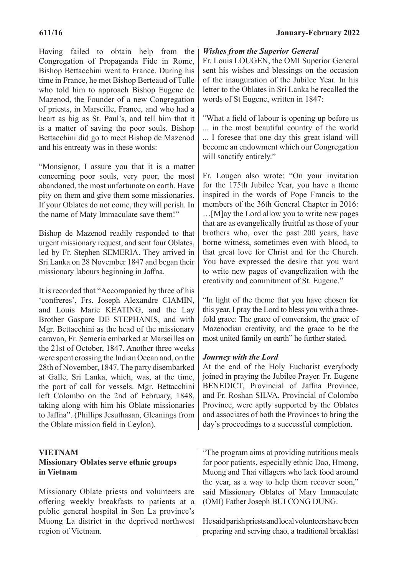Having failed to obtain help from the Congregation of Propaganda Fide in Rome, Bishop Bettacchini went to France. During his time in France, he met Bishop Berteaud of Tulle who told him to approach Bishop Eugene de Mazenod, the Founder of a new Congregation of priests, in Marseille, France, and who had a heart as big as St. Paul's, and tell him that it is a matter of saving the poor souls. Bishop Bettacchini did go to meet Bishop de Mazenod and his entreaty was in these words:

"Monsignor, I assure you that it is a matter concerning poor souls, very poor, the most abandoned, the most unfortunate on earth. Have pity on them and give them some missionaries. If your Oblates do not come, they will perish. In the name of Maty Immaculate save them!"

Bishop de Mazenod readily responded to that urgent missionary request, and sent four Oblates, led by Fr. Stephen SEMERIA. They arrived in Sri Lanka on 28 November 1847 and began their missionary labours beginning in Jaffna.

It is recorded that "Accompanied by three of his 'confreres', Frs. Joseph Alexandre CIAMIN, and Louis Marie KEATING, and the Lay Brother Gaspare DE STEPHANIS, and with Mgr. Bettacchini as the head of the missionary caravan, Fr. Semeria embarked at Marseilles on the 21st of October, 1847. Another three weeks were spent crossing the Indian Ocean and, on the 28th of November, 1847. The party disembarked at Galle, Sri Lanka, which, was, at the time, the port of call for vessels. Mgr. Bettacchini left Colombo on the 2nd of February, 1848, taking along with him his Oblate missionaries to Jaffna". (Phillips Jesuthasan, Gleanings from the Oblate mission field in Ceylon).

# **VIETNAM Missionary Oblates serve ethnic groups in Vietnam**

Missionary Oblate priests and volunteers are offering weekly breakfasts to patients at a public general hospital in Son La province's Muong La district in the deprived northwest region of Vietnam.

## *Wishes from the Superior General*

Fr. Louis LOUGEN, the OMI Superior General sent his wishes and blessings on the occasion of the inauguration of the Jubilee Year. In his letter to the Oblates in Sri Lanka he recalled the words of St Eugene, written in 1847:

"What a field of labour is opening up before us ... in the most beautiful country of the world ... I foresee that one day this great island will become an endowment which our Congregation will sanctify entirely."

Fr. Lougen also wrote: "On your invitation for the 175th Jubilee Year, you have a theme inspired in the words of Pope Francis to the members of the 36th General Chapter in 2016:

…[M]ay the Lord allow you to write new pages that are as evangelically fruitful as those of your brothers who, over the past 200 years, have borne witness, sometimes even with blood, to that great love for Christ and for the Church. You have expressed the desire that you want to write new pages of evangelization with the creativity and commitment of St. Eugene."

"In light of the theme that you have chosen for this year, I pray the Lord to bless you with a threefold grace: The grace of conversion, the grace of Mazenodian creativity, and the grace to be the most united family on earth" he further stated.

# *Journey with the Lord*

At the end of the Holy Eucharist everybody joined in praying the Jubilee Prayer. Fr. Eugene BENEDICT, Provincial of Jaffna Province, and Fr. Roshan SILVA, Provincial of Colombo Province, were aptly supported by the Oblates and associates of both the Provinces to bring the day's proceedings to a successful completion.

"The program aims at providing nutritious meals for poor patients, especially ethnic Dao, Hmong, Muong and Thai villagers who lack food around the year, as a way to help them recover soon," said Missionary Oblates of Mary Immaculate (OMI) Father Joseph BUI CONG DUNG.

He said parish priests and local volunteers have been preparing and serving chao, a traditional breakfast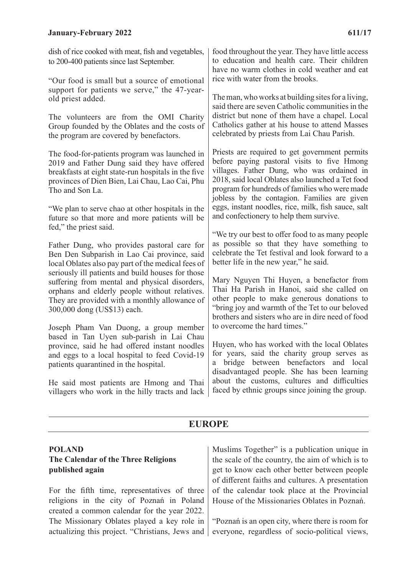dish of rice cooked with meat, fish and vegetables, to 200-400 patients since last September.

"Our food is small but a source of emotional support for patients we serve," the 47-yearold priest added.

The volunteers are from the OMI Charity Group founded by the Oblates and the costs of the program are covered by benefactors.

The food-for-patients program was launched in 2019 and Father Dung said they have offered breakfasts at eight state-run hospitals in the five provinces of Dien Bien, Lai Chau, Lao Cai, Phu Tho and Son La.

"We plan to serve chao at other hospitals in the future so that more and more patients will be fed," the priest said.

Father Dung, who provides pastoral care for Ben Den Subparish in Lao Cai province, said local Oblates also pay part of the medical fees of seriously ill patients and build houses for those suffering from mental and physical disorders, orphans and elderly people without relatives. They are provided with a monthly allowance of 300,000 dong (US\$13) each.

Joseph Pham Van Duong, a group member based in Tan Uyen sub-parish in Lai Chau province, said he had offered instant noodles and eggs to a local hospital to feed Covid-19 patients quarantined in the hospital.

He said most patients are Hmong and Thai villagers who work in the hilly tracts and lack

food throughout the year. They have little access to education and health care. Their children have no warm clothes in cold weather and eat rice with water from the brooks.

The man, who works at building sites for a living, said there are seven Catholic communities in the district but none of them have a chapel. Local Catholics gather at his house to attend Masses celebrated by priests from Lai Chau Parish.

Priests are required to get government permits before paying pastoral visits to five Hmong villages. Father Dung, who was ordained in 2018, said local Oblates also launched a Tet food program for hundreds of families who were made jobless by the contagion. Families are given eggs, instant noodles, rice, milk, fish sauce, salt and confectionery to help them survive.

"We try our best to offer food to as many people as possible so that they have something to celebrate the Tet festival and look forward to a better life in the new year," he said.

Mary Nguyen Thi Huyen, a benefactor from Thai Ha Parish in Hanoi, said she called on other people to make generous donations to "bring joy and warmth of the Tet to our beloved brothers and sisters who are in dire need of food to overcome the hard times."

Huyen, who has worked with the local Oblates for years, said the charity group serves as a bridge between benefactors and local disadvantaged people. She has been learning about the customs, cultures and difficulties faced by ethnic groups since joining the group.

# **EUROPE**

# **POLAND The Calendar of the Three Religions published again**

For the fifth time, representatives of three religions in the city of Poznań in Poland created a common calendar for the year 2022. The Missionary Oblates played a key role in actualizing this project. "Christians, Jews and

Muslims Together" is a publication unique in the scale of the country, the aim of which is to get to know each other better between people of different faiths and cultures. A presentation of the calendar took place at the Provincial House of the Missionaries Oblates in Poznań.

"Poznań is an open city, where there is room for everyone, regardless of socio-political views,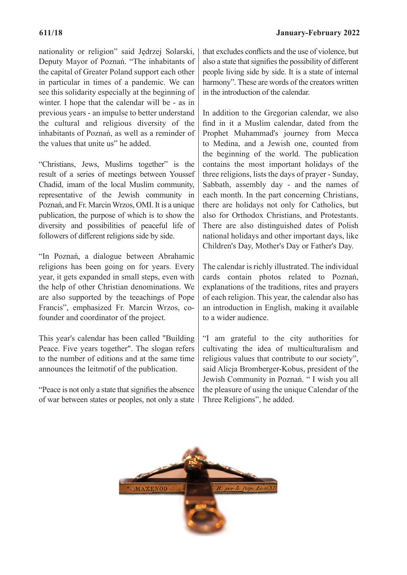nationality or religion" said Jędrzej Solarski, Deputy Mayor of Poznań. "The inhabitants of the capital of Greater Poland support each other in particular in times of a pandemic. We can see this solidarity especially at the beginning of winter. I hope that the calendar will be - as in previous years - an impulse to better understand the cultural and religious diversity of the inhabitants of Poznań, as well as a reminder of the values that unite us" he added.

"Christians, Jews, Muslims together" is the result of a series of meetings between Youssef Chadid, imam of the local Muslim community, representative of the Jewish community in Poznań, and Fr. Marcin Wrzos, OMI. It is a unique publication, the purpose of which is to show the diversity and possibilities of peaceful life of followers of different religions side by side.

"In Poznań, a dialogue between Abrahamic religions has been going on for years. Every year, it gets expanded in small steps, even with the help of other Christian denominations. We are also supported by the teeachings of Pope Francis", emphasized Fr. Marcin Wrzos, cofounder and coordinator of the project.

This year's calendar has been called "Building Peace. Five years together". The slogan refers to the number of editions and at the same time announces the leitmotif of the publication.

"Peace is not only a state that signifies the absence of war between states or peoples, not only a state

that excludes conflicts and the use of violence, but also a state that signifies the possibility of different people living side by side. It is a state of internal harmony". These are words of the creators written in the introduction of the calendar.

In addition to the Gregorian calendar, we also find in it a Muslim calendar, dated from the Prophet Muhammad's journey from Mecca to Medina, and a Jewish one, counted from the beginning of the world. The publication contains the most important holidays of the three religions, lists the days of prayer - Sunday, Sabbath, assembly day - and the names of each month. In the part concerning Christians, there are holidays not only for Catholics, but also for Orthodox Christians, and Protestants. There are also distinguished dates of Polish national holidays and other important days, like Children's Day, Mother's Day or Father's Day.

The calendar is richly illustrated. The individual cards contain photos related to Poznań, explanations of the traditions, rites and prayers of each religion. This year, the calendar also has an introduction in English, making it available to a wider audience.

"I am grateful to the city authorities for cultivating the idea of multiculturalism and religious values that contribute to our society", said Alicja Bromberger-Kobus, president of the Jewish Community in Poznań. " I wish you all the pleasure of using the unique Calendar of the Three Religions", he added.

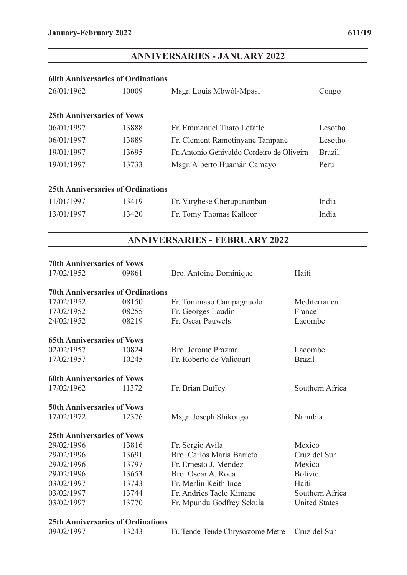# **ANNIVERSARIES - JANUARY 2022**

#### **60th Anniversaries of Ordinations**

| 26/01/1962                               | 10009 | Msgr. Louis Mbwôl-Mpasi                    | Congo         |
|------------------------------------------|-------|--------------------------------------------|---------------|
| <b>25th Anniversaries of Vows</b>        |       |                                            |               |
| 06/01/1997                               | 13888 | Fr. Emmanuel Thato Lefatle                 | Lesotho       |
| 06/01/1997                               | 13889 | Fr. Clement Ramotinyane Tampane            | Lesotho       |
| 19/01/1997                               | 13695 | Fr. Antonio Genivaldo Cordeiro de Oliveira | <b>Brazil</b> |
| 19/01/1997                               | 13733 | Msgr. Alberto Huamán Camayo                | Peru          |
| <b>25th Anniversaries of Ordinations</b> |       |                                            |               |
| 11/01/1997                               | 13419 | Fr. Varghese Cheruparamban                 | India         |
| 13/01/1997                               | 13420 | Fr. Tomy Thomas Kalloor                    | India         |

# **ANNIVERSARIES - FEBRUARY 2022**

| <b>70th Anniversaries of Vows</b>        |       |                           |                      |
|------------------------------------------|-------|---------------------------|----------------------|
| 17/02/1952                               | 09861 | Bro. Antoine Dominique    | Haiti                |
| <b>70th Anniversaries of Ordinations</b> |       |                           |                      |
| 17/02/1952                               | 08150 | Fr. Tommaso Campagnuolo   | Mediterranea         |
| 17/02/1952                               | 08255 | Fr. Georges Laudin        | France               |
| 24/02/1952                               | 08219 | Fr. Oscar Pauwels         | Lacombe              |
| <b>65th Anniversaries of Vows</b>        |       |                           |                      |
| 02/02/1957                               | 10824 | Bro. Jerome Prazma        | Lacombe              |
| 17/02/1957                               | 10245 | Fr. Roberto de Valicourt  | <b>Brazil</b>        |
| <b>60th Anniversaries of Vows</b>        |       |                           |                      |
| 17/02/1962                               | 11372 | Fr. Brian Duffey          | Southern Africa      |
| <b>50th Anniversaries of Vows</b>        |       |                           |                      |
| 17/02/1972                               | 12376 | Msgr. Joseph Shikongo     | Namibia              |
| <b>25th Anniversaries of Vows</b>        |       |                           |                      |
| 29/02/1996                               | 13816 | Fr. Sergio Avila          | Mexico               |
| 29/02/1996                               | 13691 | Bro. Carlos María Barreto | Cruz del Sur         |
| 29/02/1996                               | 13797 | Fr. Ernesto J. Mendez     | Mexico               |
| 29/02/1996                               | 13653 | Bro. Oscar A. Roca        | <b>Bolivie</b>       |
| 03/02/1997                               | 13743 | Fr. Merlin Keith Ince     | Haiti                |
| 03/02/1997                               | 13744 | Fr. Andries Taelo Kimane  | Southern Africa      |
| 03/02/1997                               | 13770 | Fr. Mpundu Godfrey Sekula | <b>United States</b> |

#### **25th Anniversaries of Ordinations**

| 09/02/1997 | 13243 | Fr. Tende-Tende Chrysostome Metre Cruz del Sur |  |
|------------|-------|------------------------------------------------|--|
|------------|-------|------------------------------------------------|--|